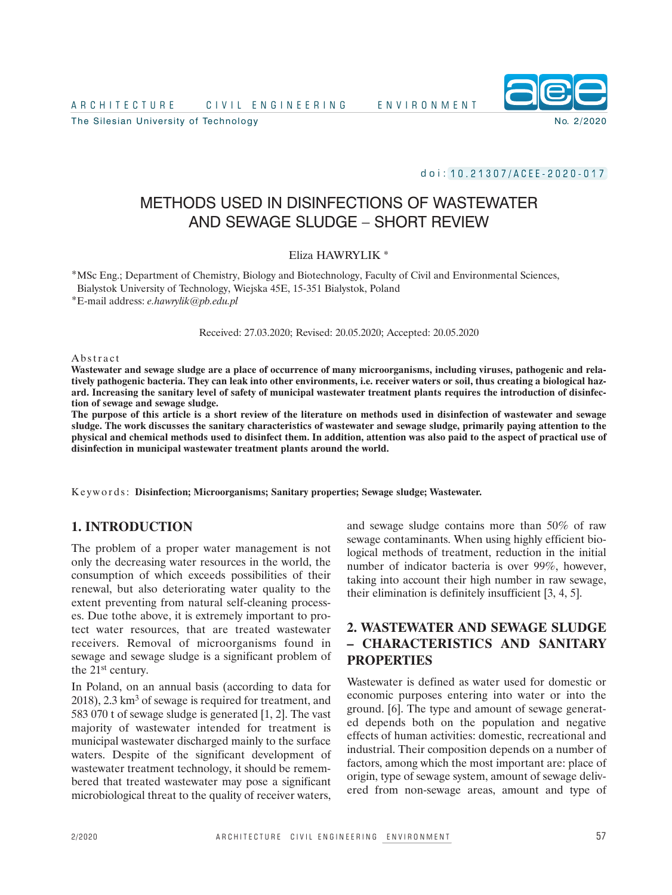A R C H I T E C I C I V I L E N G I N E E R I N G I R E N E N V I R O N M E N T

The Silesian University of Technology No. 2/2020



d o i : 1 0 . 2 1 3 0 7 / A C E E - 2 0 2 0 - 0 1 7

# METHODS USED IN DISINFECTIONS OF WASTEWATER AND SEWAGE SLUDGE – SHORT REVIEW

### Eliza HAWRYLIK \*

\*MSc Eng.; Department of Chemistry, Biology and Biotechnology, Faculty of Civil and Environmental Sciences, Bialystok University of Technology, Wiejska 45E, 15-351 Bialystok, Poland

\*E-mail address: *e.hawrylik@pb.edu.pl*

Received: 27.03.2020; Revised: 20.05.2020; Accepted: 20.05.2020

#### **Abstract**

Wastewater and sewage sludge are a place of occurrence of many microorganisms, including viruses, pathogenic and relatively pathogenic bacteria. They can leak into other environments, i.e. receiver waters or soil, thus creating a biological hazard. Increasing the sanitary level of safety of municipal wastewater treatment plants requires the introduction of disinfec**tion of sewage and sewage sludge.**

The purpose of this article is a short review of the literature on methods used in disinfection of wastewater and sewage sludge. The work discusses the sanitary characteristics of wastewater and sewage sludge, primarily paying attention to the physical and chemical methods used to disinfect them. In addition, attention was also paid to the aspect of practical use of **disinfection in municipal wastewater treatment plants around the world.**

K e ywo r d s: **Disinfection; Microorganisms; Sanitary properties; Sewage sludge; Wastewater.**

# **1. INTRODUCTION**

The problem of a proper water management is not only the decreasing water resources in the world, the consumption of which exceeds possibilities of their renewal, but also deteriorating water quality to the extent preventing from natural self-cleaning processes. Due tothe above, it is extremely important to protect water resources, that are treated wastewater receivers. Removal of microorganisms found in sewage and sewage sludge is a significant problem of the 21st century.

In Poland, on an annual basis (according to data for 2018), 2.3 km<sup>3</sup> of sewage is required for treatment, and 583 070 t of sewage sludge is generated [1, 2]. The vast majority of wastewater intended for treatment is municipal wastewater discharged mainly to the surface waters. Despite of the significant development of wastewater treatment technology, it should be remembered that treated wastewater may pose a significant microbiological threat to the quality of receiver waters, and sewage sludge contains more than 50% of raw sewage contaminants. When using highly efficient biological methods of treatment, reduction in the initial number of indicator bacteria is over 99%, however, taking into account their high number in raw sewage, their elimination is definitely insufficient [3, 4, 5].

# **2. WASTEWATER AND SEWAGE SLUDGE – CHARACTERISTICS AND SANITARY PROPERTIES**

Wastewater is defined as water used for domestic or economic purposes entering into water or into the ground. [6]. The type and amount of sewage generated depends both on the population and negative effects of human activities: domestic, recreational and industrial. Their composition depends on a number of factors, among which the most important are: place of origin, type of sewage system, amount of sewage delivered from non-sewage areas, amount and type of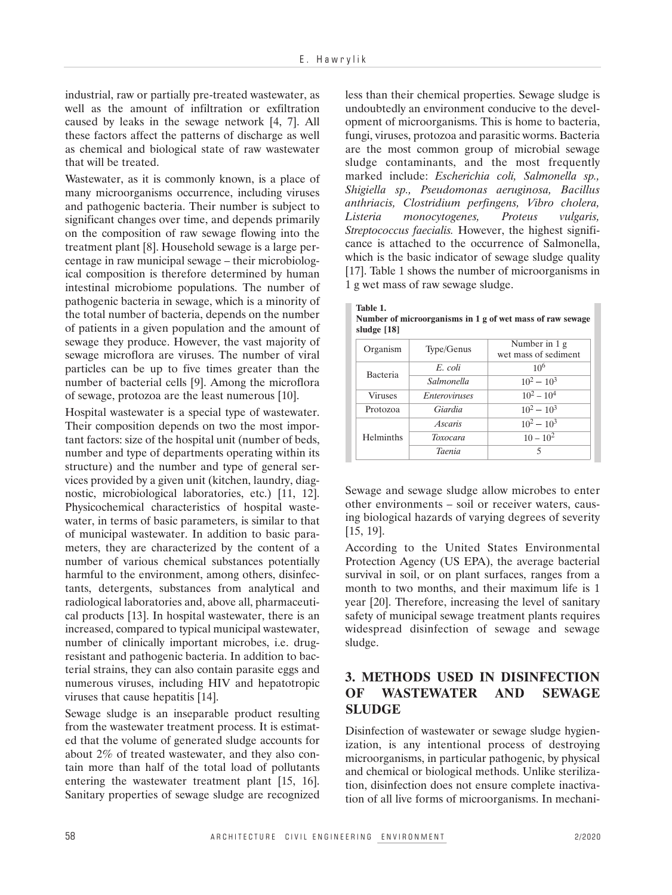industrial, raw or partially pre-treated wastewater, as well as the amount of infiltration or exfiltration caused by leaks in the sewage network [4, 7]. All these factors affect the patterns of discharge as well as chemical and biological state of raw wastewater that will be treated.

Wastewater, as it is commonly known, is a place of many microorganisms occurrence, including viruses and pathogenic bacteria. Their number is subject to significant changes over time, and depends primarily on the composition of raw sewage flowing into the treatment plant [8]. Household sewage is a large percentage in raw municipal sewage – their microbiological composition is therefore determined by human intestinal microbiome populations. The number of pathogenic bacteria in sewage, which is a minority of the total number of bacteria, depends on the number of patients in a given population and the amount of sewage they produce. However, the vast majority of sewage microflora are viruses. The number of viral particles can be up to five times greater than the number of bacterial cells [9]. Among the microflora of sewage, protozoa are the least numerous [10].

Hospital wastewater is a special type of wastewater. Their composition depends on two the most important factors: size of the hospital unit (number of beds, number and type of departments operating within its structure) and the number and type of general services provided by a given unit (kitchen, laundry, diagnostic, microbiological laboratories, etc.) [11, 12]. Physicochemical characteristics of hospital wastewater, in terms of basic parameters, is similar to that of municipal wastewater. In addition to basic parameters, they are characterized by the content of a number of various chemical substances potentially harmful to the environment, among others, disinfectants, detergents, substances from analytical and radiological laboratories and, above all, pharmaceutical products [13]. In hospital wastewater, there is an increased, compared to typical municipal wastewater, number of clinically important microbes, i.e. drugresistant and pathogenic bacteria. In addition to bacterial strains, they can also contain parasite eggs and numerous viruses, including HIV and hepatotropic viruses that cause hepatitis [14].

Sewage sludge is an inseparable product resulting from the wastewater treatment process. It is estimated that the volume of generated sludge accounts for about 2% of treated wastewater, and they also contain more than half of the total load of pollutants entering the wastewater treatment plant [15, 16]. Sanitary properties of sewage sludge are recognized less than their chemical properties. Sewage sludge is undoubtedly an environment conducive to the development of microorganisms. This is home to bacteria, fungi, viruses, protozoa and parasitic worms. Bacteria are the most common group of microbial sewage sludge contaminants, and the most frequently marked include: *Escherichia coli, Salmonella sp., Shigiella sp., Pseudomonas aeruginosa, Bacillus anthriacis, Clostridium perfingens, Vibro cholera, Listeria monocytogenes, Proteus vulgaris, Streptococcus faecialis.* However, the highest significance is attached to the occurrence of Salmonella, which is the basic indicator of sewage sludge quality [17]. Table 1 shows the number of microorganisms in 1 g wet mass of raw sewage sludge.

| Table 1.                                                  |
|-----------------------------------------------------------|
| Number of microorganisms in 1 g of wet mass of raw sewage |
| sludge $[18]$                                             |

| Organism       | Type/Genus           | Number in 1 g<br>wet mass of sediment |  |  |  |
|----------------|----------------------|---------------------------------------|--|--|--|
| Bacteria       | E. coli              | 10 <sup>6</sup>                       |  |  |  |
|                | Salmonella           | $10^2 - 10^3$                         |  |  |  |
| <b>Viruses</b> | <i>Enteroviruses</i> | $10^2 - 10^4$<br>$10^2 - 10^3$        |  |  |  |
| Protozoa       | Giardia              |                                       |  |  |  |
|                | <i>Ascaris</i>       | $10^2 - 10^3$                         |  |  |  |
| Helminths      | Toxocara             | $10 - 10^2$                           |  |  |  |
|                | <b>Taenia</b>        | 5                                     |  |  |  |

Sewage and sewage sludge allow microbes to enter other environments – soil or receiver waters, causing biological hazards of varying degrees of severity [15, 19].

According to the United States Environmental Protection Agency (US EPA), the average bacterial survival in soil, or on plant surfaces, ranges from a month to two months, and their maximum life is 1 year [20]. Therefore, increasing the level of sanitary safety of municipal sewage treatment plants requires widespread disinfection of sewage and sewage sludge.

# **3. METHODS USED IN DISINFECTION OF WASTEWATER AND SEWAGE SLUDGE**

Disinfection of wastewater or sewage sludge hygienization, is any intentional process of destroying microorganisms, in particular pathogenic, by physical and chemical or biological methods. Unlike sterilization, disinfection does not ensure complete inactivation of all live forms of microorganisms. In mechani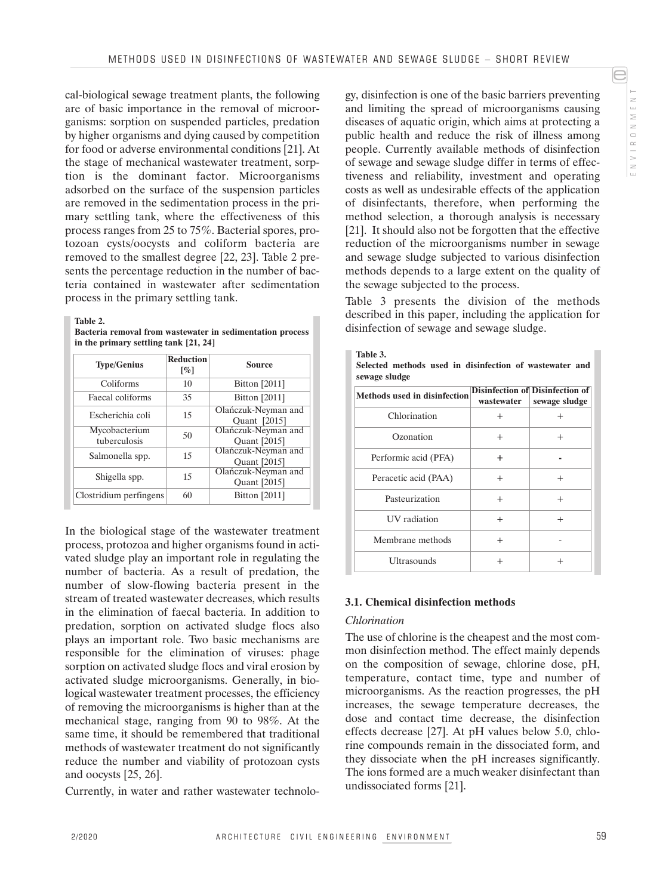cal-biological sewage treatment plants, the following are of basic importance in the removal of microorganisms: sorption on suspended particles, predation by higher organisms and dying caused by competition for food or adverse environmental conditions [21]. At the stage of mechanical wastewater treatment, sorption is the dominant factor. Microorganisms adsorbed on the surface of the suspension particles are removed in the sedimentation process in the primary settling tank, where the effectiveness of this process ranges from 25 to 75%. Bacterial spores, protozoan cysts/oocysts and coliform bacteria are removed to the smallest degree [22, 23]. Table 2 presents the percentage reduction in the number of bacteria contained in wastewater after sedimentation process in the primary settling tank.

**Table 2.**

|  |                                         | Bacteria removal from wastewater in sedimentation process |  |
|--|-----------------------------------------|-----------------------------------------------------------|--|
|  | in the primary settling tank $[21, 24]$ |                                                           |  |

| <b>Type/Genius</b>            | <b>Reduction</b><br>[%] | <b>Source</b>                       |  |  |
|-------------------------------|-------------------------|-------------------------------------|--|--|
| Coliforms                     | 10                      | <b>Bitton</b> [2011]                |  |  |
| Faecal coliforms              | 35                      | Bitton [2011]                       |  |  |
| Escherichia coli              | 15                      | Olańczuk-Neyman and<br>Quant [2015] |  |  |
| Mycobacterium<br>tuberculosis | 50                      | Olańczuk-Neyman and<br>Quant [2015] |  |  |
| Salmonella spp.               | 15                      | Olańczuk-Neyman and<br>Quant [2015] |  |  |
| Shigella spp.                 | 15                      | Olańczuk-Neyman and<br>Quant [2015] |  |  |
| Clostridium perfingens        | 60                      | Bitton [2011]                       |  |  |

In the biological stage of the wastewater treatment process, protozoa and higher organisms found in activated sludge play an important role in regulating the number of bacteria. As a result of predation, the number of slow-flowing bacteria present in the stream of treated wastewater decreases, which results in the elimination of faecal bacteria. In addition to predation, sorption on activated sludge flocs also plays an important role. Two basic mechanisms are responsible for the elimination of viruses: phage sorption on activated sludge flocs and viral erosion by activated sludge microorganisms. Generally, in biological wastewater treatment processes, the efficiency of removing the microorganisms is higher than at the mechanical stage, ranging from 90 to 98%. At the same time, it should be remembered that traditional methods of wastewater treatment do not significantly reduce the number and viability of protozoan cysts and oocysts [25, 26].

Currently, in water and rather wastewater technolo-

gy, disinfection is one of the basic barriers preventing and limiting the spread of microorganisms causing diseases of aquatic origin, which aims at protecting a public health and reduce the risk of illness among people. Currently available methods of disinfection of sewage and sewage sludge differ in terms of effectiveness and reliability, investment and operating costs as well as undesirable effects of the application of disinfectants, therefore, when performing the method selection, a thorough analysis is necessary [21]. It should also not be forgotten that the effective reduction of the microorganisms number in sewage and sewage sludge subjected to various disinfection methods depends to a large extent on the quality of the sewage subjected to the process.

E

N V I R O N M E N T

NVIRONMENT

e

Table 3 presents the division of the methods described in this paper, including the application for disinfection of sewage and sewage sludge.

| Table 3.      |  |                                                         |  |  |
|---------------|--|---------------------------------------------------------|--|--|
|               |  | Selected methods used in disinfection of wastewater and |  |  |
| sewage sludge |  |                                                         |  |  |

| Methods used in disinfection | wastewater | <b>Disinfection of Disinfection of</b><br>sewage sludge |
|------------------------------|------------|---------------------------------------------------------|
| Chlorination                 | $^{+}$     | $\overline{+}$                                          |
| Ozonation                    | $^{+}$     | $^{+}$                                                  |
| Performic acid (PFA)         | ÷          |                                                         |
| Peracetic acid (PAA)         | $\pm$      | $^{+}$                                                  |
| Pasteurization               | $^{+}$     | $^{+}$                                                  |
| <b>UV</b> radiation          | $^{+}$     | $^{+}$                                                  |
| Membrane methods             | $^{+}$     |                                                         |
| <b>Ultrasounds</b>           | $^+$       | $^+$                                                    |

### **3.1. Chemical disinfection methods**

### *Chlorination*

The use of chlorine is the cheapest and the most common disinfection method. The effect mainly depends on the composition of sewage, chlorine dose, pH, temperature, contact time, type and number of microorganisms. As the reaction progresses, the pH increases, the sewage temperature decreases, the dose and contact time decrease, the disinfection effects decrease [27]. At pH values below 5.0, chlorine compounds remain in the dissociated form, and they dissociate when the pH increases significantly. The ions formed are a much weaker disinfectant than undissociated forms [21].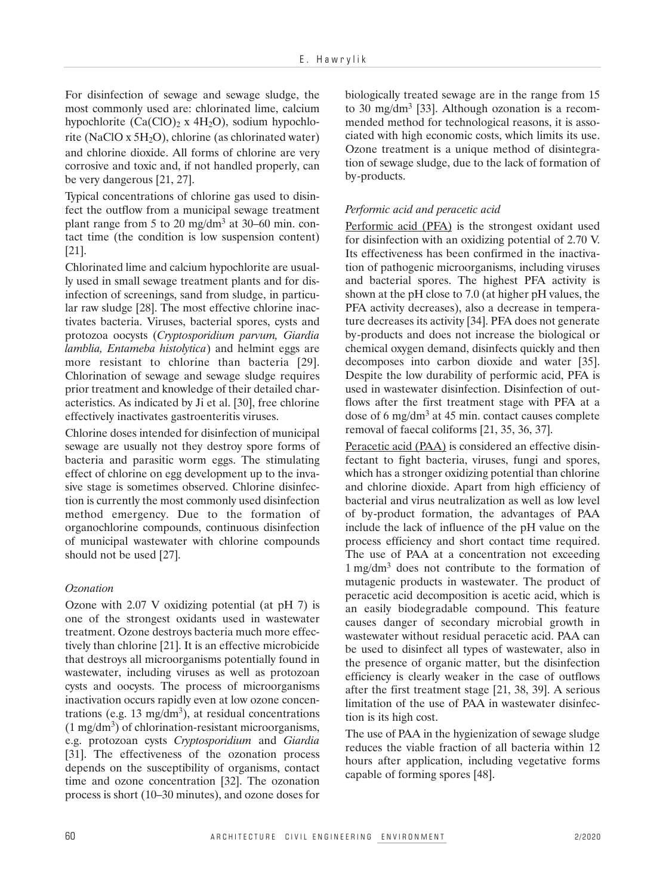For disinfection of sewage and sewage sludge, the most commonly used are: chlorinated lime, calcium hypochlorite  $(Ca(CIO)_2 \times 4H_2O)$ , sodium hypochlorite (NaClO x  $5H<sub>2</sub>O$ ), chlorine (as chlorinated water) and chlorine dioxide. All forms of chlorine are very corrosive and toxic and, if not handled properly, can be very dangerous [21, 27].

Typical concentrations of chlorine gas used to disinfect the outflow from a municipal sewage treatment plant range from 5 to 20 mg/dm3 at 30–60 min. contact time (the condition is low suspension content) [21].

Chlorinated lime and calcium hypochlorite are usually used in small sewage treatment plants and for disinfection of screenings, sand from sludge, in particular raw sludge [28]. The most effective chlorine inactivates bacteria. Viruses, bacterial spores, cysts and protozoa oocysts (*Cryptosporidium parvum, Giardia lamblia, Entameba histolytica*) and helmint eggs are more resistant to chlorine than bacteria [29]. Chlorination of sewage and sewage sludge requires prior treatment and knowledge of their detailed characteristics. As indicated by Ji et al. [30], free chlorine effectively inactivates gastroenteritis viruses.

Chlorine doses intended for disinfection of municipal sewage are usually not they destroy spore forms of bacteria and parasitic worm eggs. The stimulating effect of chlorine on egg development up to the invasive stage is sometimes observed. Chlorine disinfection is currently the most commonly used disinfection method emergency. Due to the formation of organochlorine compounds, continuous disinfection of municipal wastewater with chlorine compounds should not be used [27].

### *Ozonation*

Ozone with 2.07 V oxidizing potential (at pH 7) is one of the strongest oxidants used in wastewater treatment. Ozone destroys bacteria much more effectively than chlorine [21]. It is an effective microbicide that destroys all microorganisms potentially found in wastewater, including viruses as well as protozoan cysts and oocysts. The process of microorganisms inactivation occurs rapidly even at low ozone concentrations (e.g. 13 mg/dm<sup>3</sup>), at residual concentrations  $(1 \text{ mg/dm}^3)$  of chlorination-resistant microorganisms, e.g. protozoan cysts *Cryptosporidium* and *Giardia* [31]. The effectiveness of the ozonation process depends on the susceptibility of organisms, contact time and ozone concentration [32]. The ozonation process is short (10–30 minutes), and ozone doses for

biologically treated sewage are in the range from 15 to 30 mg/dm<sup>3</sup> [33]. Although ozonation is a recommended method for technological reasons, it is associated with high economic costs, which limits its use. Ozone treatment is a unique method of disintegration of sewage sludge, due to the lack of formation of by-products.

### *Performic acid and peracetic acid*

Performic acid (PFA) is the strongest oxidant used for disinfection with an oxidizing potential of 2.70 V. Its effectiveness has been confirmed in the inactivation of pathogenic microorganisms, including viruses and bacterial spores. The highest PFA activity is shown at the pH close to 7.0 (at higher pH values, the PFA activity decreases), also a decrease in temperature decreases its activity [34]. PFA does not generate by-products and does not increase the biological or chemical oxygen demand, disinfects quickly and then decomposes into carbon dioxide and water [35]. Despite the low durability of performic acid, PFA is used in wastewater disinfection. Disinfection of outflows after the first treatment stage with PFA at a dose of 6 mg/dm3 at 45 min. contact causes complete removal of faecal coliforms [21, 35, 36, 37].

Peracetic acid (PAA) is considered an effective disinfectant to fight bacteria, viruses, fungi and spores, which has a stronger oxidizing potential than chlorine and chlorine dioxide. Apart from high efficiency of bacterial and virus neutralization as well as low level of by-product formation, the advantages of PAA include the lack of influence of the pH value on the process efficiency and short contact time required. The use of PAA at a concentration not exceeding 1 mg/dm3 does not contribute to the formation of mutagenic products in wastewater. The product of peracetic acid decomposition is acetic acid, which is an easily biodegradable compound. This feature causes danger of secondary microbial growth in wastewater without residual peracetic acid. PAA can be used to disinfect all types of wastewater, also in the presence of organic matter, but the disinfection efficiency is clearly weaker in the case of outflows after the first treatment stage [21, 38, 39]. A serious limitation of the use of PAA in wastewater disinfection is its high cost.

The use of PAA in the hygienization of sewage sludge reduces the viable fraction of all bacteria within 12 hours after application, including vegetative forms capable of forming spores [48].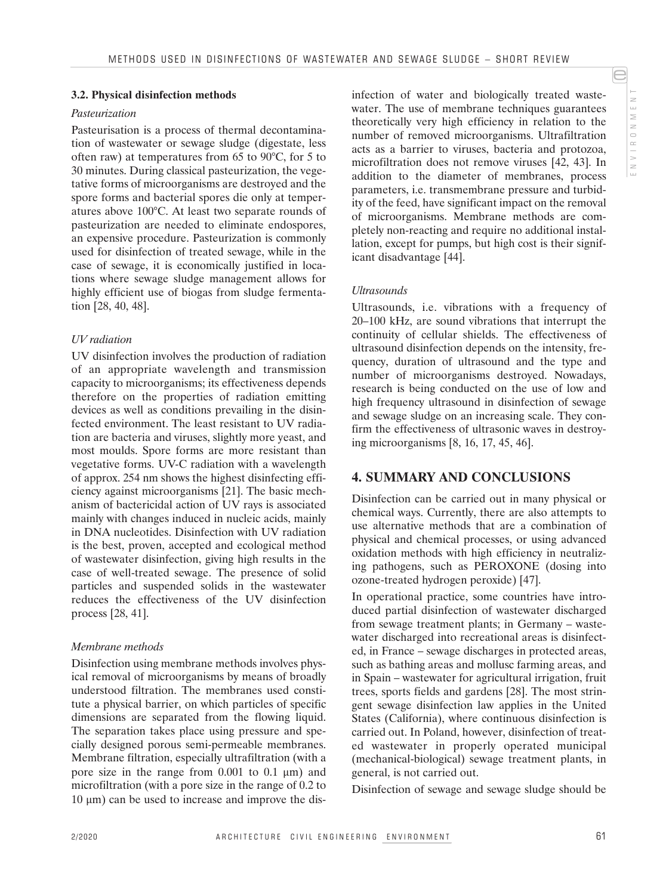# NVIRONMENT N V I R O N M E N T

e

# **3.2. Physical disinfection methods**

### *Pasteurization*

Pasteurisation is a process of thermal decontamination of wastewater or sewage sludge (digestate, less often raw) at temperatures from 65 to 90°C, for 5 to 30 minutes. During classical pasteurization, the vegetative forms of microorganisms are destroyed and the spore forms and bacterial spores die only at temperatures above 100°C. At least two separate rounds of pasteurization are needed to eliminate endospores, an expensive procedure. Pasteurization is commonly used for disinfection of treated sewage, while in the case of sewage, it is economically justified in locations where sewage sludge management allows for highly efficient use of biogas from sludge fermentation [28, 40, 48].

### *UV radiation*

UV disinfection involves the production of radiation of an appropriate wavelength and transmission capacity to microorganisms; its effectiveness depends therefore on the properties of radiation emitting devices as well as conditions prevailing in the disinfected environment. The least resistant to UV radiation are bacteria and viruses, slightly more yeast, and most moulds. Spore forms are more resistant than vegetative forms. UV-C radiation with a wavelength of approx. 254 nm shows the highest disinfecting efficiency against microorganisms [21]. The basic mechanism of bactericidal action of UV rays is associated mainly with changes induced in nucleic acids, mainly in DNA nucleotides. Disinfection with UV radiation is the best, proven, accepted and ecological method of wastewater disinfection, giving high results in the case of well-treated sewage. The presence of solid particles and suspended solids in the wastewater reduces the effectiveness of the UV disinfection process [28, 41].

### *Membrane methods*

Disinfection using membrane methods involves physical removal of microorganisms by means of broadly understood filtration. The membranes used constitute a physical barrier, on which particles of specific dimensions are separated from the flowing liquid. The separation takes place using pressure and specially designed porous semi-permeable membranes. Membrane filtration, especially ultrafiltration (with a pore size in the range from 0.001 to 0.1 µm) and microfiltration (with a pore size in the range of 0.2 to  $10 \mu m$ ) can be used to increase and improve the disinfection of water and biologically treated wastewater. The use of membrane techniques guarantees theoretically very high efficiency in relation to the number of removed microorganisms. Ultrafiltration acts as a barrier to viruses, bacteria and protozoa, microfiltration does not remove viruses [42, 43]. In addition to the diameter of membranes, process parameters, i.e. transmembrane pressure and turbidity of the feed, have significant impact on the removal of microorganisms. Membrane methods are completely non-reacting and require no additional installation, except for pumps, but high cost is their significant disadvantage [44].

### *Ultrasounds*

Ultrasounds, i.e. vibrations with a frequency of 20–100 kHz, are sound vibrations that interrupt the continuity of cellular shields. The effectiveness of ultrasound disinfection depends on the intensity, frequency, duration of ultrasound and the type and number of microorganisms destroyed. Nowadays, research is being conducted on the use of low and high frequency ultrasound in disinfection of sewage and sewage sludge on an increasing scale. They confirm the effectiveness of ultrasonic waves in destroying microorganisms [8, 16, 17, 45, 46].

# **4. SUMMARY AND CONCLUSIONS**

Disinfection can be carried out in many physical or chemical ways. Currently, there are also attempts to use alternative methods that are a combination of physical and chemical processes, or using advanced oxidation methods with high efficiency in neutralizing pathogens, such as PEROXONE (dosing into ozone-treated hydrogen peroxide) [47].

In operational practice, some countries have introduced partial disinfection of wastewater discharged from sewage treatment plants; in Germany – wastewater discharged into recreational areas is disinfected, in France – sewage discharges in protected areas, such as bathing areas and mollusc farming areas, and in Spain – wastewater for agricultural irrigation, fruit trees, sports fields and gardens [28]. The most stringent sewage disinfection law applies in the United States (California), where continuous disinfection is carried out. In Poland, however, disinfection of treated wastewater in properly operated municipal (mechanical-biological) sewage treatment plants, in general, is not carried out.

Disinfection of sewage and sewage sludge should be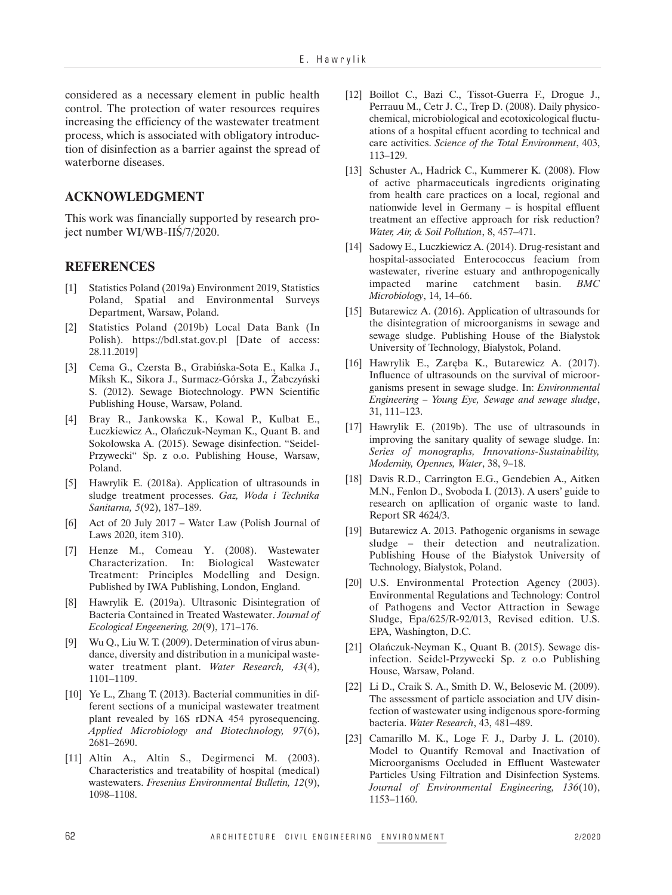considered as a necessary element in public health control. The protection of water resources requires increasing the efficiency of the wastewater treatment process, which is associated with obligatory introduction of disinfection as a barrier against the spread of waterborne diseases.

## **ACKNOWLEDGMENT**

This work was financially supported by research project number WI/WB-IIŚ/7/2020.

### **REFERENCES**

- [1] Statistics Poland (2019a) Environment 2019, Statistics Poland, Spatial and Environmental Surveys Department, Warsaw, Poland.
- [2] Statistics Poland (2019b) Local Data Bank (In Polish). https://bdl.stat.gov.pl [Date of access: 28.11.2019]
- [3] Cema G., Czersta B., Grabińska-Sota E., Kalka J., Miksh K., Sikora J., Surmacz-Górska J., Żabczyński S. (2012). Sewage Biotechnology. PWN Scientific Publishing House, Warsaw, Poland.
- [4] Bray R., Jankowska K., Kowal P., Kulbat E., Łuczkiewicz A., Olańczuk-Neyman K., Quant B. and Sokołowska A. (2015). Sewage disinfection. "Seidel-Przywecki" Sp. z o.o. Publishing House, Warsaw, Poland.
- [5] Hawrylik E. (2018a). Application of ultrasounds in sludge treatment processes. *Gaz, Woda i Technika Sanitarna, 5*(92), 187–189.
- [6] Act of 20 July 2017 Water Law (Polish Journal of Laws 2020, item 310).
- [7] Henze M., Comeau Y. (2008). Wastewater Characterization. In: Biological Wastewater Treatment: Principles Modelling and Design. Published by IWA Publishing, London, England.
- [8] Hawrylik E. (2019a). Ultrasonic Disintegration of Bacteria Contained in Treated Wastewater. *Journal of Ecological Engeenering, 20*(9), 171–176.
- [9] Wu Q., Liu W. T. (2009). Determination of virus abundance, diversity and distribution in a municipal wastewater treatment plant. *Water Research, 43*(4), 1101–1109.
- [10] Ye L., Zhang T. (2013). Bacterial communities in different sections of a municipal wastewater treatment plant revealed by 16S rDNA 454 pyrosequencing. *Applied Microbiology and Biotechnology, 97*(6), 2681–2690.
- [11] Altin A., Altin S., Degirmenci M. (2003). Characteristics and treatability of hospital (medical) wastewaters. *Fresenius Environmental Bulletin, 12*(9), 1098–1108.
- [12] Boillot C., Bazi C., Tissot-Guerra F., Drogue J., Perrauu M., Cetr J. C., Trep D. (2008). Daily physicochemical, microbiological and ecotoxicological fluctuations of a hospital effuent acording to technical and care activities. *Science of the Total Environment*, 403, 113–129.
- [13] Schuster A., Hadrick C., Kummerer K. (2008). Flow of active pharmaceuticals ingredients originating from health care practices on a local, regional and nationwide level in Germany – is hospital effluent treatment an effective approach for risk reduction? *Water, Air, & Soil Pollution*, 8, 457–471.
- [14] Sadowy E., Luczkiewicz A. (2014). Drug-resistant and hospital-associated Enterococcus feacium from wastewater, riverine estuary and anthropogenically impacted marine catchment basin. *BMC Microbiology*, 14, 14–66.
- [15] Butarewicz A. (2016). Application of ultrasounds for the disintegration of microorganisms in sewage and sewage sludge. Publishing House of the Białystok University of Technology, Bialystok, Poland.
- [16] Hawrylik E., Zaręba K., Butarewicz A. (2017). Influence of ultrasounds on the survival of microorganisms present in sewage sludge. In: *Environmental Engineering – Young Eye, Sewage and sewage sludge*, 31, 111–123.
- [17] Hawrylik E. (2019b). The use of ultrasounds in improving the sanitary quality of sewage sludge. In: *Series of monographs, Innovations-Sustainability, Modernity, Opennes, Water*, 38, 9–18.
- [18] Davis R.D., Carrington E.G., Gendebien A., Aitken M.N., Fenlon D., Svoboda I. (2013). A users' guide to research on apllication of organic waste to land. Report SR 4624/3.
- [19] Butarewicz A. 2013. Pathogenic organisms in sewage sludge – their detection and neutralization. Publishing House of the Białystok University of Technology, Bialystok, Poland.
- [20] U.S. Environmental Protection Agency (2003). Environmental Regulations and Technology: Control of Pathogens and Vector Attraction in Sewage Sludge, Epa/625/R-92/013, Revised edition. U.S. EPA, Washington, D.C.
- [21] Olańczuk-Neyman K., Quant B. (2015). Sewage disinfection. Seidel-Przywecki Sp. z o.o Publishing House, Warsaw, Poland.
- [22] Li D., Craik S. A., Smith D. W., Belosevic M. (2009). The assessment of particle association and UV disinfection of wastewater using indigenous spore-forming bacteria. *Water Research*, 43, 481–489.
- [23] Camarillo M. K., Loge F. J., Darby J. L. (2010). Model to Quantify Removal and Inactivation of Microorganisms Occluded in Effluent Wastewater Particles Using Filtration and Disinfection Systems. *Journal of Environmental Engineering, 136*(10), 1153–1160.